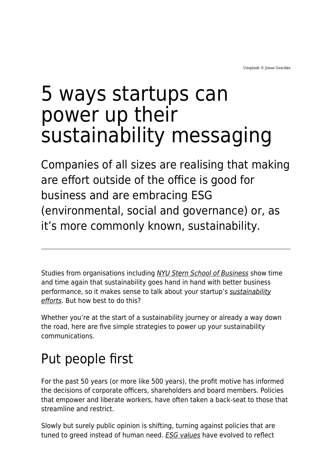# 5 ways startups can power up their sustainability messaging

Companies of all sizes are realising that making are effort outside of the office is good for business and are embracing ESG (environmental, social and governance) or, as it's more commonly known, sustainability.

Studies from organisations including [NYU Stern School of Business](https://www.stern.nyu.edu/experience-stern/faculty-research/new-meta-analysis-nyu-stern-center-sustainable-business-and-rockefeller-asset-management-finds-esg) show time and time again that sustainability goes hand in hand with better business performance, so it makes sense to talk about your startup's [sustainability](https://www.maddyness.com/uk/2021/10/22/the-challenge-and-opportunity-of-esg-reporting-for-smes/) [efforts](https://www.maddyness.com/uk/2021/10/22/the-challenge-and-opportunity-of-esg-reporting-for-smes/). But how best to do this?

Whether you're at the start of a sustainability journey or already a way down the road, here are five simple strategies to power up your sustainability communications.

## Put people first

For the past 50 years (or more like 500 years), the profit motive has informed the decisions of corporate officers, shareholders and board members. Policies that empower and liberate workers, have often taken a back-seat to those that streamline and restrict.

Slowly but surely public opinion is shifting, turning against policies that are tuned to greed instead of human need. **[ESG values](https://www.maddyness.com/uk/2021/11/29/debunking-esg-myths-for-more-sustainable-investing/)** have evolved to reflect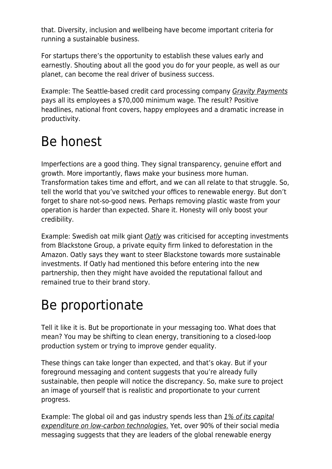that. Diversity, inclusion and wellbeing have become important criteria for running a sustainable business.

For startups there's the opportunity to establish these values early and earnestly. Shouting about all the good you do for your people, as well as our planet, can become the real driver of business success.

Example: The Seattle-based credit card processing company *[Gravity Payments](https://www.cbsnews.com/news/dan-price-gravity-payments-ceo-70000-employee-minimum-wage/)* pays all its employees a \$70,000 minimum wage. The result? Positive headlines, national front covers, happy employees and a dramatic increase in productivity.

## Be honest

Imperfections are a good thing. They signal transparency, genuine effort and growth. More importantly, flaws make your business more human. Transformation takes time and effort, and we can all relate to that struggle. So, tell the world that you've switched your offices to renewable energy. But don't forget to share not-so-good news. Perhaps removing plastic waste from your operation is harder than expected. Share it. Honesty will only boost your credibility.

Example: Swedish oat milk giant [Oatly](https://www.theguardian.com/food/2020/sep/01/oatly-vegan-milk-sale-blackstone) was criticised for accepting investments from Blackstone Group, a private equity firm linked to deforestation in the Amazon. Oatly says they want to steer Blackstone towards more sustainable investments. If Oatly had mentioned this before entering into the new partnership, then they might have avoided the reputational fallout and remained true to their brand story.

## Be proportionate

Tell it like it is. But be proportionate in your messaging too. What does that mean? You may be shifting to clean energy, transitioning to a closed-loop production system or trying to improve gender equality.

These things can take longer than expected, and that's okay. But if your foreground messaging and content suggests that you're already fully sustainable, then people will notice the discrepancy. So, make sure to project an image of yourself that is realistic and proportionate to your current progress.

Example: The global oil and gas industry spends less than [1% of its capital](https://www.edie.net/news/6/IEA--Oil-and-gas-firms-investing-less-than-1--of-funding-in-low-carbon-transition/) [expenditure on low-carbon technologies](https://www.edie.net/news/6/IEA--Oil-and-gas-firms-investing-less-than-1--of-funding-in-low-carbon-transition/)[.](https://www.edie.net/news/6/IEA--Oil-and-gas-firms-investing-less-than-1--of-funding-in-low-carbon-transition/) Yet, over 90% of their social media messaging suggests that they are leaders of the global renewable energy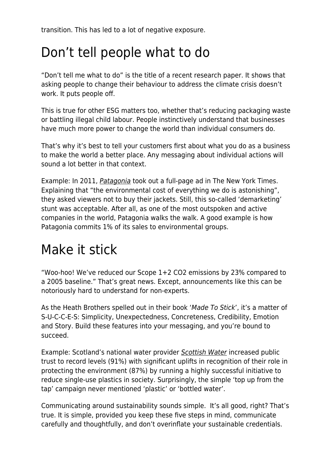transition. This has led to a lot of negative exposure.

## Don't tell people what to do

"Don't tell me what to do" is the title of a recent research paper. It shows that asking people to change their behaviour to address the climate crisis doesn't work. It puts people off.

This is true for other ESG matters too, whether that's reducing packaging waste or battling illegal child labour. People instinctively understand that businesses have much more power to change the world than individual consumers do.

That's why it's best to tell your customers first about what you do as a business to make the world a better place. Any messaging about individual actions will sound a lot better in that context.

Example: In 2011, [Patagonia](https://eu.patagonia.com/gb/en/stories/dont-buy-this-jacket-black-friday-and-the-new-york-times/story-18615.html) took out a full-page ad in The New York Times. Explaining that "the environmental cost of everything we do is astonishing", they asked viewers not to buy their jackets. Still, this so-called 'demarketing' stunt was acceptable. After all, as one of the most outspoken and active companies in the world, Patagonia walks the walk. A good example is how Patagonia commits 1% of its sales to environmental groups.

## Make it stick

"Woo-hoo! We've reduced our Scope 1+2 CO2 emissions by 23% compared to a 2005 baseline." That's great news. Except, announcements like this can be notoriously hard to understand for non-experts.

As the Heath Brothers spelled out in their book 'Made To Stick', it's a matter of S-U-C-C-E-S: Simplicity, Unexpectedness, Concreteness, Credibility, Emotion and Story. Build these features into your messaging, and you're bound to succeed.

Example: Scotland's national water provider [Scottish Water](https://www.marketingweek.com/masters-awards-scottish-water/) increased public trust to record levels (91%) with significant uplifts in recognition of their role in protecting the environment (87%) by running a highly successful initiative to reduce single-use plastics in society. Surprisingly, the simple 'top up from the tap' campaign never mentioned 'plastic' or 'bottled water'.

Communicating around sustainability sounds simple. It's all good, right? That's true. It is simple, provided you keep these five steps in mind, communicate carefully and thoughtfully, and don't overinflate your sustainable credentials.